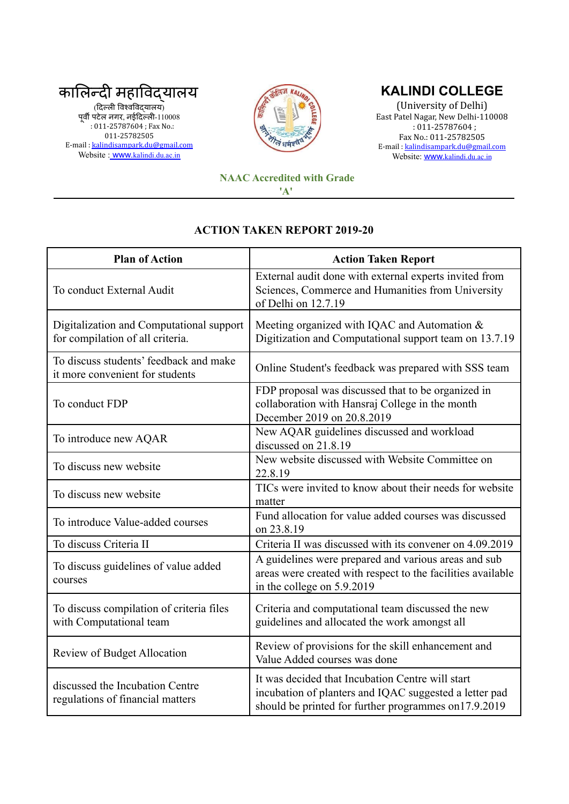

E-mail : [kalindisampark.du@gmail.com](mailto:kalindisampark.du@gmail.com) Website : <u>www.[kalindi.du.ac.in](http://www.kalindi.du.ac.in)</u>



## **KALINDI COLLEGE**

(University of Delhi) East Patel Nagar, New Delhi-110008 : 011-25787604 ; Fax No.: 011-25782505 E-mail : [kalindisampark.du@gmail.com](mailto:kalindisampark.du@gmail.com) Website: www.[kalindi.du.ac.in](http://www.kalindi.du.ac.in)

## **NAAC Accredited with Grade 'A'**

## **ACTION TAKEN REPORT 2019-20**

| <b>Plan of Action</b>                                                        | <b>Action Taken Report</b>                                                                                                                                          |
|------------------------------------------------------------------------------|---------------------------------------------------------------------------------------------------------------------------------------------------------------------|
| To conduct External Audit                                                    | External audit done with external experts invited from<br>Sciences, Commerce and Humanities from University<br>of Delhi on 12.7.19                                  |
| Digitalization and Computational support<br>for compilation of all criteria. | Meeting organized with IQAC and Automation &<br>Digitization and Computational support team on 13.7.19                                                              |
| To discuss students' feedback and make<br>it more convenient for students    | Online Student's feedback was prepared with SSS team                                                                                                                |
| To conduct FDP                                                               | FDP proposal was discussed that to be organized in<br>collaboration with Hansraj College in the month<br>December 2019 on 20.8.2019                                 |
| To introduce new AQAR                                                        | New AQAR guidelines discussed and workload<br>discussed on 21.8.19                                                                                                  |
| To discuss new website                                                       | New website discussed with Website Committee on<br>22.8.19                                                                                                          |
| To discuss new website                                                       | TICs were invited to know about their needs for website<br>matter                                                                                                   |
| To introduce Value-added courses                                             | Fund allocation for value added courses was discussed<br>on 23.8.19                                                                                                 |
| To discuss Criteria II                                                       | Criteria II was discussed with its convener on 4.09.2019                                                                                                            |
| To discuss guidelines of value added<br>courses                              | A guidelines were prepared and various areas and sub<br>areas were created with respect to the facilities available<br>in the college on 5.9.2019                   |
| To discuss compilation of criteria files<br>with Computational team          | Criteria and computational team discussed the new<br>guidelines and allocated the work amongst all                                                                  |
| Review of Budget Allocation                                                  | Review of provisions for the skill enhancement and<br>Value Added courses was done                                                                                  |
| discussed the Incubation Centre<br>regulations of financial matters          | It was decided that Incubation Centre will start<br>incubation of planters and IQAC suggested a letter pad<br>should be printed for further programmes on 17.9.2019 |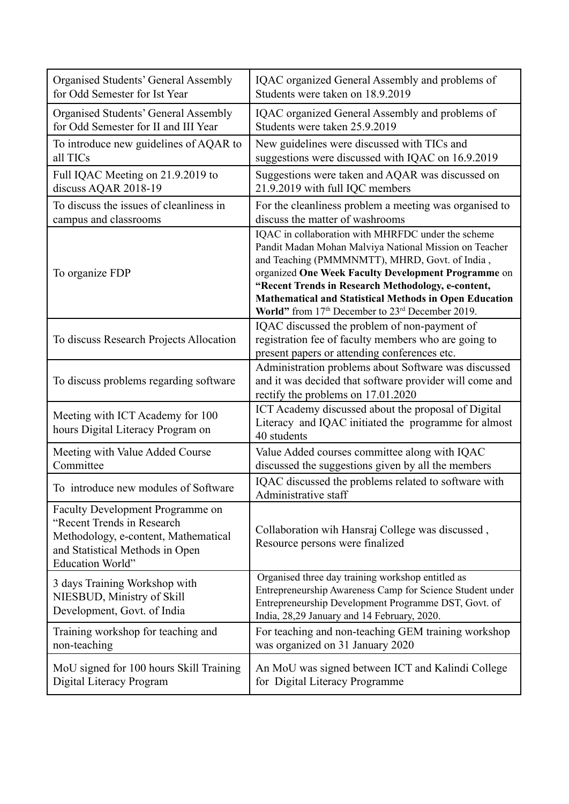| <b>Organised Students' General Assembly</b>                                                                                                                   | IQAC organized General Assembly and problems of                                                                                                                                                                                                                                                                                                                                                  |
|---------------------------------------------------------------------------------------------------------------------------------------------------------------|--------------------------------------------------------------------------------------------------------------------------------------------------------------------------------------------------------------------------------------------------------------------------------------------------------------------------------------------------------------------------------------------------|
| for Odd Semester for Ist Year                                                                                                                                 | Students were taken on 18.9.2019                                                                                                                                                                                                                                                                                                                                                                 |
| <b>Organised Students' General Assembly</b>                                                                                                                   | IQAC organized General Assembly and problems of                                                                                                                                                                                                                                                                                                                                                  |
| for Odd Semester for II and III Year                                                                                                                          | Students were taken 25.9.2019                                                                                                                                                                                                                                                                                                                                                                    |
| To introduce new guidelines of AQAR to                                                                                                                        | New guidelines were discussed with TICs and                                                                                                                                                                                                                                                                                                                                                      |
| all TICs                                                                                                                                                      | suggestions were discussed with IQAC on 16.9.2019                                                                                                                                                                                                                                                                                                                                                |
| Full IQAC Meeting on 21.9.2019 to                                                                                                                             | Suggestions were taken and AQAR was discussed on                                                                                                                                                                                                                                                                                                                                                 |
| discuss AQAR 2018-19                                                                                                                                          | 21.9.2019 with full IQC members                                                                                                                                                                                                                                                                                                                                                                  |
| To discuss the issues of cleanliness in                                                                                                                       | For the cleanliness problem a meeting was organised to                                                                                                                                                                                                                                                                                                                                           |
| campus and classrooms                                                                                                                                         | discuss the matter of washrooms                                                                                                                                                                                                                                                                                                                                                                  |
| To organize FDP                                                                                                                                               | IQAC in collaboration with MHRFDC under the scheme<br>Pandit Madan Mohan Malviya National Mission on Teacher<br>and Teaching (PMMMNMTT), MHRD, Govt. of India,<br>organized One Week Faculty Development Programme on<br>"Recent Trends in Research Methodology, e-content,<br><b>Mathematical and Statistical Methods in Open Education</b><br>World" from 17th December to 23rd December 2019. |
| To discuss Research Projects Allocation                                                                                                                       | IQAC discussed the problem of non-payment of<br>registration fee of faculty members who are going to<br>present papers or attending conferences etc.                                                                                                                                                                                                                                             |
| To discuss problems regarding software                                                                                                                        | Administration problems about Software was discussed<br>and it was decided that software provider will come and<br>rectify the problems on 17.01.2020                                                                                                                                                                                                                                            |
| Meeting with ICT Academy for 100<br>hours Digital Literacy Program on                                                                                         | ICT Academy discussed about the proposal of Digital<br>Literacy and IQAC initiated the programme for almost<br>40 students                                                                                                                                                                                                                                                                       |
| Meeting with Value Added Course                                                                                                                               | Value Added courses committee along with IQAC                                                                                                                                                                                                                                                                                                                                                    |
| Committee                                                                                                                                                     | discussed the suggestions given by all the members                                                                                                                                                                                                                                                                                                                                               |
| To introduce new modules of Software                                                                                                                          | IQAC discussed the problems related to software with<br>Administrative staff                                                                                                                                                                                                                                                                                                                     |
| Faculty Development Programme on<br>"Recent Trends in Research<br>Methodology, e-content, Mathematical<br>and Statistical Methods in Open<br>Education World" | Collaboration wih Hansraj College was discussed,<br>Resource persons were finalized                                                                                                                                                                                                                                                                                                              |
| 3 days Training Workshop with<br>NIESBUD, Ministry of Skill<br>Development, Govt. of India                                                                    | Organised three day training workshop entitled as<br>Entrepreneurship Awareness Camp for Science Student under<br>Entrepreneurship Development Programme DST, Govt. of<br>India, 28,29 January and 14 February, 2020.                                                                                                                                                                            |
| Training workshop for teaching and                                                                                                                            | For teaching and non-teaching GEM training workshop                                                                                                                                                                                                                                                                                                                                              |
| non-teaching                                                                                                                                                  | was organized on 31 January 2020                                                                                                                                                                                                                                                                                                                                                                 |
| MoU signed for 100 hours Skill Training                                                                                                                       | An MoU was signed between ICT and Kalindi College                                                                                                                                                                                                                                                                                                                                                |
| Digital Literacy Program                                                                                                                                      | for Digital Literacy Programme                                                                                                                                                                                                                                                                                                                                                                   |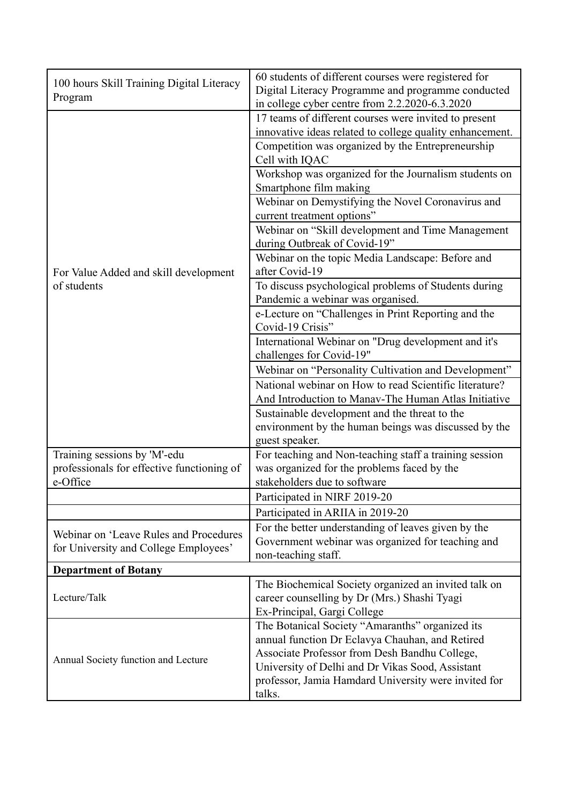| 100 hours Skill Training Digital Literacy<br>Program                                   | 60 students of different courses were registered for<br>Digital Literacy Programme and programme conducted<br>in college cyber centre from 2.2.2020-6.3.2020                                                                                                              |
|----------------------------------------------------------------------------------------|---------------------------------------------------------------------------------------------------------------------------------------------------------------------------------------------------------------------------------------------------------------------------|
|                                                                                        | 17 teams of different courses were invited to present<br>innovative ideas related to college quality enhancement.<br>Competition was organized by the Entrepreneurship<br>Cell with IQAC                                                                                  |
|                                                                                        | Workshop was organized for the Journalism students on<br>Smartphone film making<br>Webinar on Demystifying the Novel Coronavirus and                                                                                                                                      |
|                                                                                        | current treatment options"<br>Webinar on "Skill development and Time Management<br>during Outbreak of Covid-19"                                                                                                                                                           |
| For Value Added and skill development                                                  | Webinar on the topic Media Landscape: Before and<br>after Covid-19                                                                                                                                                                                                        |
| of students                                                                            | To discuss psychological problems of Students during<br>Pandemic a webinar was organised.                                                                                                                                                                                 |
|                                                                                        | e-Lecture on "Challenges in Print Reporting and the<br>Covid-19 Crisis"                                                                                                                                                                                                   |
|                                                                                        | International Webinar on "Drug development and it's<br>challenges for Covid-19"                                                                                                                                                                                           |
|                                                                                        | Webinar on "Personality Cultivation and Development"<br>National webinar on How to read Scientific literature?                                                                                                                                                            |
|                                                                                        | And Introduction to Manav-The Human Atlas Initiative                                                                                                                                                                                                                      |
|                                                                                        | Sustainable development and the threat to the<br>environment by the human beings was discussed by the<br>guest speaker.                                                                                                                                                   |
| Training sessions by 'M'-edu<br>professionals for effective functioning of<br>e-Office | For teaching and Non-teaching staff a training session<br>was organized for the problems faced by the<br>stakeholders due to software                                                                                                                                     |
|                                                                                        | Participated in NIRF 2019-20                                                                                                                                                                                                                                              |
|                                                                                        | Participated in ARIIA in 2019-20                                                                                                                                                                                                                                          |
| Webinar on 'Leave Rules and Procedures<br>for University and College Employees'        | For the better understanding of leaves given by the<br>Government webinar was organized for teaching and<br>non-teaching staff.                                                                                                                                           |
| <b>Department of Botany</b>                                                            |                                                                                                                                                                                                                                                                           |
| Lecture/Talk                                                                           | The Biochemical Society organized an invited talk on<br>career counselling by Dr (Mrs.) Shashi Tyagi<br>Ex-Principal, Gargi College                                                                                                                                       |
| Annual Society function and Lecture                                                    | The Botanical Society "Amaranths" organized its<br>annual function Dr Eclavya Chauhan, and Retired<br>Associate Professor from Desh Bandhu College,<br>University of Delhi and Dr Vikas Sood, Assistant<br>professor, Jamia Hamdard University were invited for<br>talks. |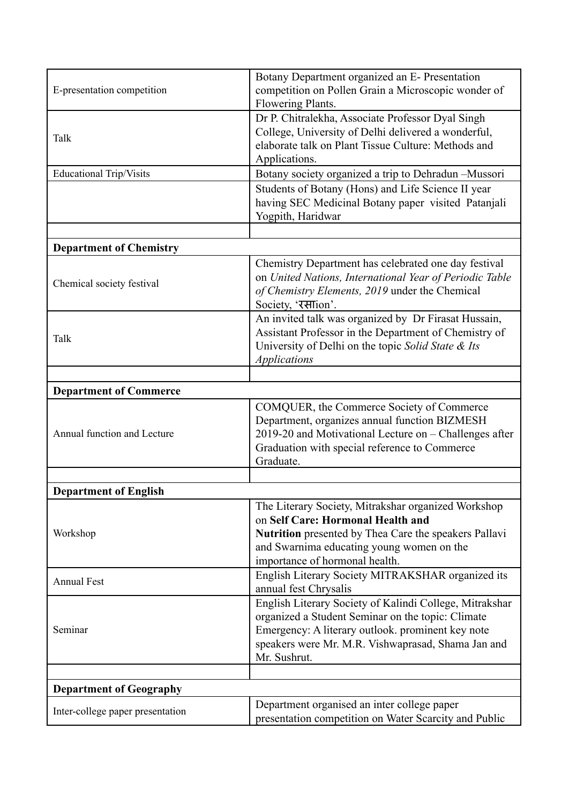| E-presentation competition       | Botany Department organized an E- Presentation<br>competition on Pollen Grain a Microscopic wonder of<br>Flowering Plants.                                                                                                              |
|----------------------------------|-----------------------------------------------------------------------------------------------------------------------------------------------------------------------------------------------------------------------------------------|
| Talk                             | Dr P. Chitralekha, Associate Professor Dyal Singh<br>College, University of Delhi delivered a wonderful,<br>elaborate talk on Plant Tissue Culture: Methods and<br>Applications.                                                        |
| <b>Educational Trip/Visits</b>   | Botany society organized a trip to Dehradun -Mussori                                                                                                                                                                                    |
|                                  | Students of Botany (Hons) and Life Science II year<br>having SEC Medicinal Botany paper visited Patanjali<br>Yogpith, Haridwar                                                                                                          |
|                                  |                                                                                                                                                                                                                                         |
| <b>Department of Chemistry</b>   |                                                                                                                                                                                                                                         |
| Chemical society festival        | Chemistry Department has celebrated one day festival<br>on United Nations, International Year of Periodic Table<br>of Chemistry Elements, 2019 under the Chemical<br>Society, 'रसाion'.                                                 |
| Talk                             | An invited talk was organized by Dr Firasat Hussain,<br>Assistant Professor in the Department of Chemistry of<br>University of Delhi on the topic Solid State & Its<br><b>Applications</b>                                              |
|                                  |                                                                                                                                                                                                                                         |
| <b>Department of Commerce</b>    |                                                                                                                                                                                                                                         |
| Annual function and Lecture      | COMQUER, the Commerce Society of Commerce<br>Department, organizes annual function BIZMESH<br>2019-20 and Motivational Lecture on - Challenges after<br>Graduation with special reference to Commerce<br>Graduate.                      |
|                                  |                                                                                                                                                                                                                                         |
| <b>Department of English</b>     |                                                                                                                                                                                                                                         |
| Workshop                         | The Literary Society, Mitrakshar organized Workshop<br>on Self Care: Hormonal Health and<br>Nutrition presented by Thea Care the speakers Pallavi<br>and Swarnima educating young women on the<br>importance of hormonal health.        |
| <b>Annual Fest</b>               | English Literary Society MITRAKSHAR organized its<br>annual fest Chrysalis                                                                                                                                                              |
| Seminar                          | English Literary Society of Kalindi College, Mitrakshar<br>organized a Student Seminar on the topic: Climate<br>Emergency: A literary outlook. prominent key note<br>speakers were Mr. M.R. Vishwaprasad, Shama Jan and<br>Mr. Sushrut. |
|                                  |                                                                                                                                                                                                                                         |
| <b>Department of Geography</b>   |                                                                                                                                                                                                                                         |
| Inter-college paper presentation | Department organised an inter college paper<br>presentation competition on Water Scarcity and Public                                                                                                                                    |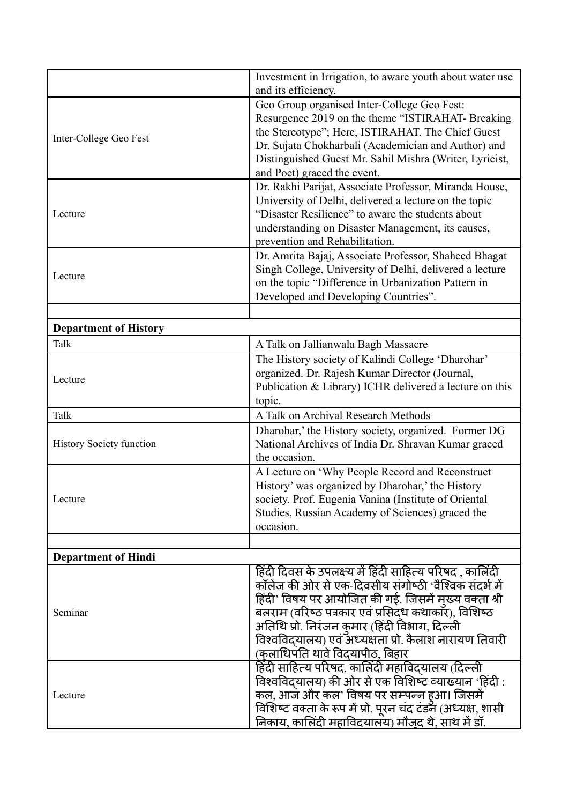|                                 | Investment in Irrigation, to aware youth about water use<br>and its efficiency.                                                                                                                                                                                                                                                                                              |
|---------------------------------|------------------------------------------------------------------------------------------------------------------------------------------------------------------------------------------------------------------------------------------------------------------------------------------------------------------------------------------------------------------------------|
| Inter-College Geo Fest          | Geo Group organised Inter-College Geo Fest:<br>Resurgence 2019 on the theme "ISTIRAHAT- Breaking<br>the Stereotype"; Here, ISTIRAHAT. The Chief Guest<br>Dr. Sujata Chokharbali (Academician and Author) and<br>Distinguished Guest Mr. Sahil Mishra (Writer, Lyricist,<br>and Poet) graced the event.                                                                       |
| Lecture                         | Dr. Rakhi Parijat, Associate Professor, Miranda House,<br>University of Delhi, delivered a lecture on the topic<br>"Disaster Resilience" to aware the students about<br>understanding on Disaster Management, its causes,<br>prevention and Rehabilitation.                                                                                                                  |
| Lecture                         | Dr. Amrita Bajaj, Associate Professor, Shaheed Bhagat<br>Singh College, University of Delhi, delivered a lecture<br>on the topic "Difference in Urbanization Pattern in<br>Developed and Developing Countries".                                                                                                                                                              |
| <b>Department of History</b>    |                                                                                                                                                                                                                                                                                                                                                                              |
| Talk                            | A Talk on Jallianwala Bagh Massacre                                                                                                                                                                                                                                                                                                                                          |
| Lecture                         | The History society of Kalindi College 'Dharohar'<br>organized. Dr. Rajesh Kumar Director (Journal,<br>Publication & Library) ICHR delivered a lecture on this<br>topic.                                                                                                                                                                                                     |
| Talk                            | A Talk on Archival Research Methods                                                                                                                                                                                                                                                                                                                                          |
| <b>History Society function</b> | Dharohar,' the History society, organized. Former DG<br>National Archives of India Dr. Shravan Kumar graced<br>the occasion.                                                                                                                                                                                                                                                 |
| Lecture                         | A Lecture on 'Why People Record and Reconstruct<br>History' was organized by Dharohar,' the History<br>society. Prof. Eugenia Vanina (Institute of Oriental<br>Studies, Russian Academy of Sciences) graced the<br>occasion.                                                                                                                                                 |
| <b>Department of Hindi</b>      |                                                                                                                                                                                                                                                                                                                                                                              |
| Seminar                         | हिंदी दिवस के उपलक्ष्य में हिंदी साहित्य परिषद , कालिंदी<br>कॉलेज की ओर से एक-दिवसीय संगोष्ठी 'वैश्विक संदर्भ में<br>हिंदी' विषय पर आयोजित की गई. जिसमें मुख्य वक्ता श्री<br>बलराम (वरिष्ठ पत्रकार एवं प्रसिदध कथाकार), विशिष्ठ<br>अतिथि प्रो. निरंजन कुमार (हिंदी विभाग, दिल्ली<br>विश्वविद्यालय) एवं अध्यक्षता प्रो. कैलाश नारायण तिवारी<br>(कलाधिपति थावे विदयापीठ, बिहार |
| Lecture                         | हिंदी साहित्य परिषद, कालिंदी महाविद्यालय (दिल्ली<br>विश्वविद् <b>यालय) की ओर से एक विशिष्ट व्याख्यान</b> 'हिंदी :<br>कल, आज और कल' विषय पर सम्पन्न हआ। जिसमें<br>विशिष्ट वक्ता के रूप में प्रो. पूरन चंद टंडन (अध्यक्ष, शासी<br>निकाय, कालिंदी महाविदयालय) मौजूद थे, साथ में डॉ.                                                                                             |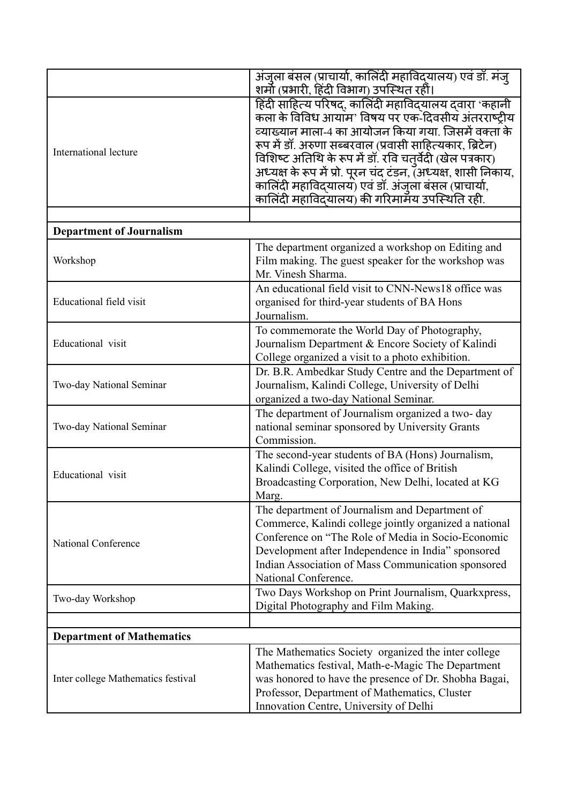|                                    | अंजुला बंसल (प्राचार्या, कालिंदी महाविद्यालय) एवं डॉ. मंजू    |
|------------------------------------|---------------------------------------------------------------|
|                                    | शर्मो (प्रभारी, हिंदी विभाग) उपस्थित रहीं।                    |
|                                    | हिंदी साहित्य परिषद्, कालिंदी महाविद्यालय दवारा 'कहानी        |
|                                    | कला के विविध आयाम' विषय पर एक-दिवसीय अंतरराष्ट्रीय            |
|                                    | व्याख्यान माला-4 का आयोजन किया गया. जिसमें वक्ता के           |
|                                    | रूप में डॉ. अरुणा सब्बरवाल (प्रवासी साहित्यकार, ब्रिटेन)      |
| International lecture              | विशिष्ट अतिथि के रूप में डॉ. रवि चतुर्वेदी (खेल पत्रकार)      |
|                                    |                                                               |
|                                    | अध्यक्ष के रूप में प्रो. पूरन चंद टंडन, (अध्यक्ष, शासी निकाय, |
|                                    | कालिंदी महाविद्यालय) एवं डॉ. अंजुला बंसल (प्राचार्या,         |
|                                    | कालिंदी महाविदयालय) की गरिमामय उपस्थिति रही.                  |
|                                    |                                                               |
| <b>Department of Journalism</b>    |                                                               |
|                                    | The department organized a workshop on Editing and            |
| Workshop                           | Film making. The guest speaker for the workshop was           |
|                                    | Mr. Vinesh Sharma.                                            |
|                                    | An educational field visit to CNN-News18 office was           |
| Educational field visit            | organised for third-year students of BA Hons                  |
|                                    | Journalism.                                                   |
|                                    | To commemorate the World Day of Photography,                  |
| Educational visit                  | Journalism Department & Encore Society of Kalindi             |
|                                    |                                                               |
|                                    | College organized a visit to a photo exhibition.              |
|                                    | Dr. B.R. Ambedkar Study Centre and the Department of          |
| Two-day National Seminar           | Journalism, Kalindi College, University of Delhi              |
|                                    | organized a two-day National Seminar.                         |
|                                    | The department of Journalism organized a two-day              |
| Two-day National Seminar           | national seminar sponsored by University Grants               |
|                                    | Commission.                                                   |
|                                    | The second-year students of BA (Hons) Journalism,             |
|                                    | Kalindi College, visited the office of British                |
| Educational visit                  | Broadcasting Corporation, New Delhi, located at KG            |
|                                    | Marg.                                                         |
|                                    | The department of Journalism and Department of                |
|                                    | Commerce, Kalindi college jointly organized a national        |
|                                    | Conference on "The Role of Media in Socio-Economic            |
| National Conference                | Development after Independence in India" sponsored            |
|                                    | Indian Association of Mass Communication sponsored            |
|                                    | National Conference.                                          |
|                                    |                                                               |
| Two-day Workshop                   | Two Days Workshop on Print Journalism, Quarkxpress,           |
|                                    | Digital Photography and Film Making.                          |
|                                    |                                                               |
| <b>Department of Mathematics</b>   |                                                               |
| Inter college Mathematics festival | The Mathematics Society organized the inter college           |
|                                    | Mathematics festival, Math-e-Magic The Department             |
|                                    | was honored to have the presence of Dr. Shobha Bagai,         |
|                                    | Professor, Department of Mathematics, Cluster                 |
|                                    | Innovation Centre, University of Delhi                        |
|                                    |                                                               |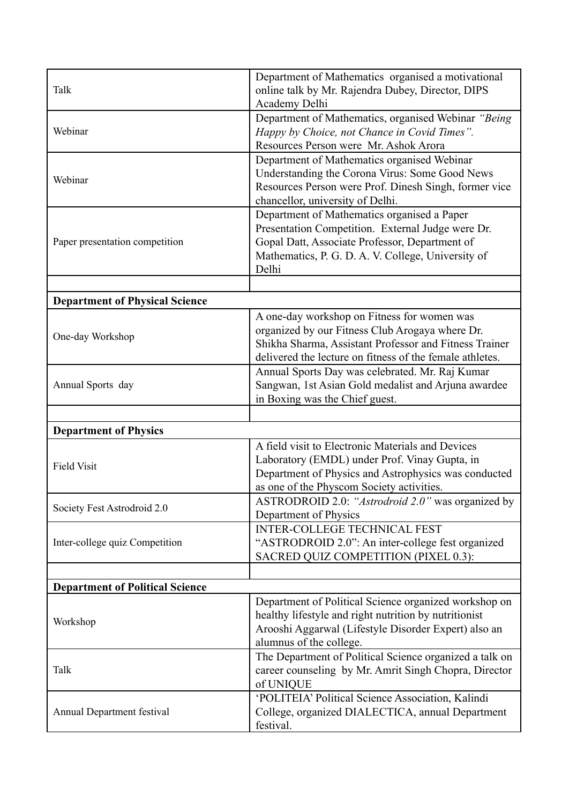| Talk                                   | Department of Mathematics organised a motivational<br>online talk by Mr. Rajendra Dubey, Director, DIPS<br>Academy Delhi                                                                                             |
|----------------------------------------|----------------------------------------------------------------------------------------------------------------------------------------------------------------------------------------------------------------------|
| Webinar                                | Department of Mathematics, organised Webinar "Being<br>Happy by Choice, not Chance in Covid Times".<br>Resources Person were Mr. Ashok Arora                                                                         |
| Webinar                                | Department of Mathematics organised Webinar<br>Understanding the Corona Virus: Some Good News<br>Resources Person were Prof. Dinesh Singh, former vice<br>chancellor, university of Delhi.                           |
| Paper presentation competition         | Department of Mathematics organised a Paper<br>Presentation Competition. External Judge were Dr.<br>Gopal Datt, Associate Professor, Department of<br>Mathematics, P. G. D. A. V. College, University of<br>Delhi    |
|                                        |                                                                                                                                                                                                                      |
| <b>Department of Physical Science</b>  |                                                                                                                                                                                                                      |
| One-day Workshop                       | A one-day workshop on Fitness for women was<br>organized by our Fitness Club Arogaya where Dr.<br>Shikha Sharma, Assistant Professor and Fitness Trainer<br>delivered the lecture on fitness of the female athletes. |
| Annual Sports day                      | Annual Sports Day was celebrated. Mr. Raj Kumar<br>Sangwan, 1st Asian Gold medalist and Arjuna awardee<br>in Boxing was the Chief guest.                                                                             |
|                                        |                                                                                                                                                                                                                      |
| <b>Department of Physics</b>           |                                                                                                                                                                                                                      |
| <b>Field Visit</b>                     | A field visit to Electronic Materials and Devices<br>Laboratory (EMDL) under Prof. Vinay Gupta, in<br>Department of Physics and Astrophysics was conducted<br>as one of the Physcom Society activities.              |
| Society Fest Astrodroid 2.0            | ASTRODROID 2.0: "Astrodroid 2.0" was organized by<br>Department of Physics                                                                                                                                           |
| Inter-college quiz Competition         | <b>INTER-COLLEGE TECHNICAL FEST</b><br>"ASTRODROID 2.0": An inter-college fest organized<br>SACRED QUIZ COMPETITION (PIXEL 0.3):                                                                                     |
|                                        |                                                                                                                                                                                                                      |
| <b>Department of Political Science</b> | Department of Political Science organized workshop on                                                                                                                                                                |
| Workshop                               | healthy lifestyle and right nutrition by nutritionist<br>Arooshi Aggarwal (Lifestyle Disorder Expert) also an<br>alumnus of the college.                                                                             |
| Talk                                   | The Department of Political Science organized a talk on<br>career counseling by Mr. Amrit Singh Chopra, Director<br>of UNIQUE                                                                                        |
| Annual Department festival             | 'POLITEIA' Political Science Association, Kalindi<br>College, organized DIALECTICA, annual Department<br>festival.                                                                                                   |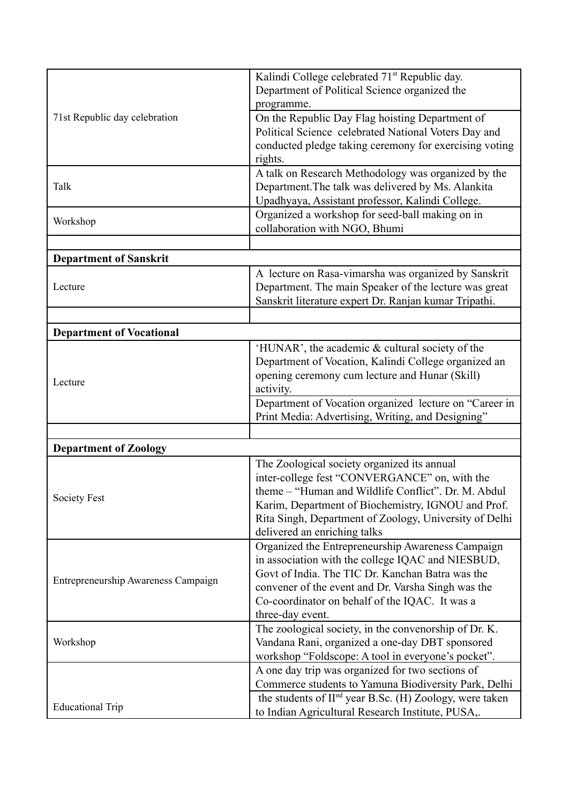|                                     | Kalindi College celebrated 71 <sup>st</sup> Republic day.           |
|-------------------------------------|---------------------------------------------------------------------|
| 71st Republic day celebration       | Department of Political Science organized the                       |
|                                     | programme.                                                          |
|                                     | On the Republic Day Flag hoisting Department of                     |
|                                     | Political Science celebrated National Voters Day and                |
|                                     |                                                                     |
|                                     | conducted pledge taking ceremony for exercising voting              |
|                                     | rights.                                                             |
|                                     | A talk on Research Methodology was organized by the                 |
| Talk                                | Department. The talk was delivered by Ms. Alankita                  |
|                                     | Upadhyaya, Assistant professor, Kalindi College.                    |
| Workshop                            | Organized a workshop for seed-ball making on in                     |
|                                     | collaboration with NGO, Bhumi                                       |
|                                     |                                                                     |
| <b>Department of Sanskrit</b>       |                                                                     |
|                                     | A lecture on Rasa-vimarsha was organized by Sanskrit                |
| Lecture                             | Department. The main Speaker of the lecture was great               |
|                                     | Sanskrit literature expert Dr. Ranjan kumar Tripathi.               |
|                                     |                                                                     |
|                                     |                                                                     |
| <b>Department of Vocational</b>     |                                                                     |
|                                     | 'HUNAR', the academic & cultural society of the                     |
|                                     | Department of Vocation, Kalindi College organized an                |
| Lecture                             | opening ceremony cum lecture and Hunar (Skill)                      |
|                                     | activity.                                                           |
|                                     | Department of Vocation organized lecture on "Career in              |
|                                     | Print Media: Advertising, Writing, and Designing"                   |
|                                     |                                                                     |
| <b>Department of Zoology</b>        |                                                                     |
|                                     | The Zoological society organized its annual                         |
|                                     | inter-college fest "CONVERGANCE" on, with the                       |
|                                     | theme - "Human and Wildlife Conflict". Dr. M. Abdul                 |
| <b>Society Fest</b>                 | Karim, Department of Biochemistry, IGNOU and Prof.                  |
|                                     | Rita Singh, Department of Zoology, University of Delhi              |
|                                     |                                                                     |
|                                     | delivered an enriching talks                                        |
| Entrepreneurship Awareness Campaign | Organized the Entrepreneurship Awareness Campaign                   |
|                                     | in association with the college IQAC and NIESBUD,                   |
|                                     | Govt of India. The TIC Dr. Kanchan Batra was the                    |
|                                     | convener of the event and Dr. Varsha Singh was the                  |
|                                     | Co-coordinator on behalf of the IQAC. It was a                      |
|                                     | three-day event.                                                    |
| Workshop                            | The zoological society, in the convenorship of Dr. K.               |
|                                     | Vandana Rani, organized a one-day DBT sponsored                     |
|                                     | workshop "Foldscope: A tool in everyone's pocket".                  |
|                                     | A one day trip was organized for two sections of                    |
|                                     | Commerce students to Yamuna Biodiversity Park, Delhi                |
|                                     | the students of II <sup>nd</sup> year B.Sc. (H) Zoology, were taken |
| <b>Educational Trip</b>             | to Indian Agricultural Research Institute, PUSA,.                   |